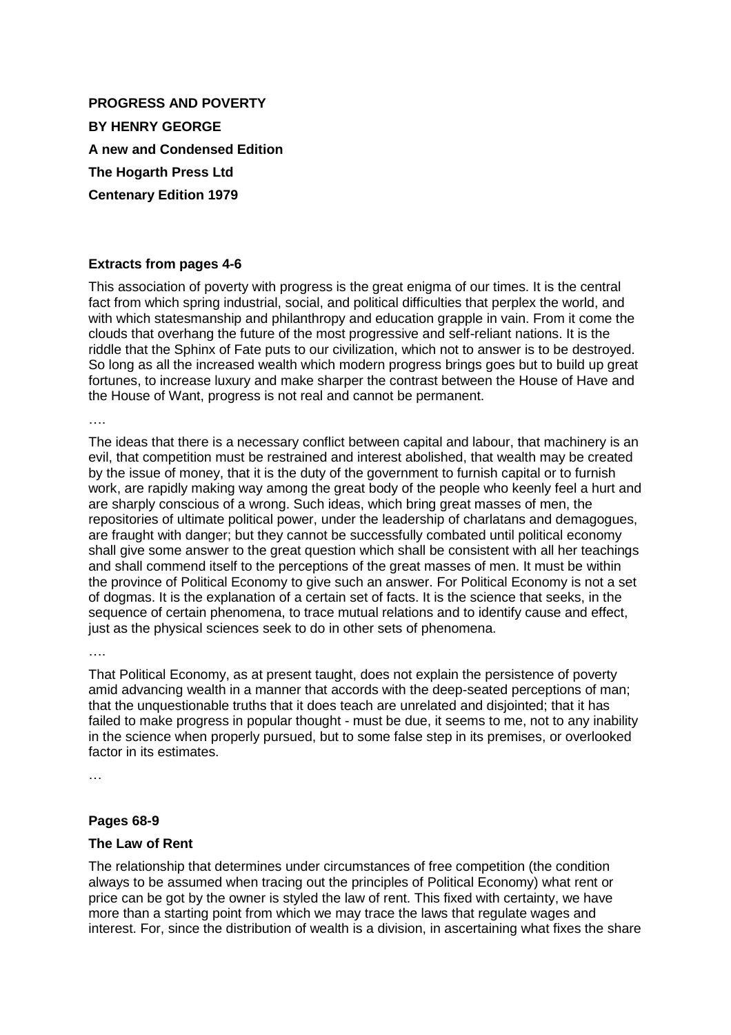**PROGRESS AND POVERTY BY HENRY GEORGE A new and Condensed Edition The Hogarth Press Ltd Centenary Edition 1979**

#### **Extracts from pages 4-6**

This association of poverty with progress is the great enigma of our times. It is the central fact from which spring industrial, social, and political difficulties that perplex the world, and with which statesmanship and philanthropy and education grapple in vain. From it come the clouds that overhang the future of the most progressive and self-reliant nations. It is the riddle that the Sphinx of Fate puts to our civilization, which not to answer is to be destroyed. So long as all the increased wealth which modern progress brings goes but to build up great fortunes, to increase luxury and make sharper the contrast between the House of Have and the House of Want, progress is not real and cannot be permanent.

….

The ideas that there is a necessary conflict between capital and labour, that machinery is an evil, that competition must be restrained and interest abolished, that wealth may be created by the issue of money, that it is the duty of the government to furnish capital or to furnish work, are rapidly making way among the great body of the people who keenly feel a hurt and are sharply conscious of a wrong. Such ideas, which bring great masses of men, the repositories of ultimate political power, under the leadership of charlatans and demagogues, are fraught with danger; but they cannot be successfully combated until political economy shall give some answer to the great question which shall be consistent with all her teachings and shall commend itself to the perceptions of the great masses of men. It must be within the province of Political Economy to give such an answer. For Political Economy is not a set of dogmas. It is the explanation of a certain set of facts. It is the science that seeks, in the sequence of certain phenomena, to trace mutual relations and to identify cause and effect, just as the physical sciences seek to do in other sets of phenomena.

….

That Political Economy, as at present taught, does not explain the persistence of poverty amid advancing wealth in a manner that accords with the deep-seated perceptions of man; that the unquestionable truths that it does teach are unrelated and disjointed; that it has failed to make progress in popular thought - must be due, it seems to me, not to any inability in the science when properly pursued, but to some false step in its premises, or overlooked factor in its estimates.

…

#### **Pages 68-9**

#### **The Law of Rent**

The relationship that determines under circumstances of free competition (the condition always to be assumed when tracing out the principles of Political Economy) what rent or price can be got by the owner is styled the law of rent. This fixed with certainty, we have more than a starting point from which we may trace the laws that regulate wages and interest. For, since the distribution of wealth is a division, in ascertaining what fixes the share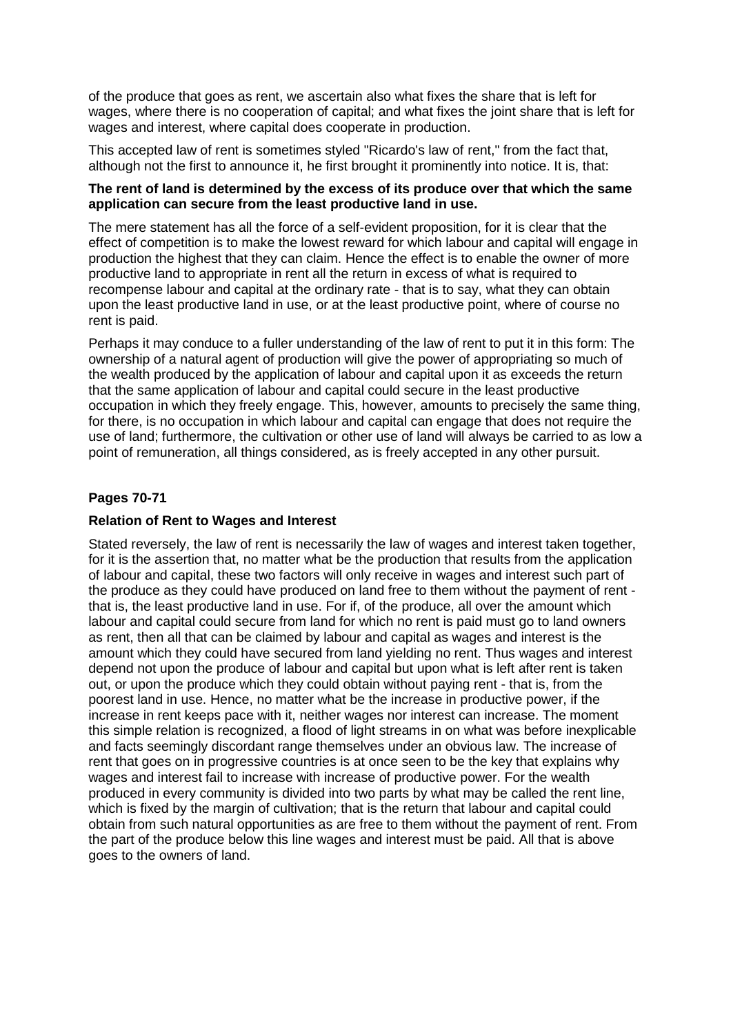of the produce that goes as rent, we ascertain also what fixes the share that is left for wages, where there is no cooperation of capital; and what fixes the joint share that is left for wages and interest, where capital does cooperate in production.

This accepted law of rent is sometimes styled "Ricardo's law of rent," from the fact that, although not the first to announce it, he first brought it prominently into notice. It is, that:

## **The rent of land is determined by the excess of its produce over that which the same application can secure from the least productive land in use.**

The mere statement has all the force of a self-evident proposition, for it is clear that the effect of competition is to make the lowest reward for which labour and capital will engage in production the highest that they can claim. Hence the effect is to enable the owner of more productive land to appropriate in rent all the return in excess of what is required to recompense labour and capital at the ordinary rate - that is to say, what they can obtain upon the least productive land in use, or at the least productive point, where of course no rent is paid.

Perhaps it may conduce to a fuller understanding of the law of rent to put it in this form: The ownership of a natural agent of production will give the power of appropriating so much of the wealth produced by the application of labour and capital upon it as exceeds the return that the same application of labour and capital could secure in the least productive occupation in which they freely engage. This, however, amounts to precisely the same thing, for there, is no occupation in which labour and capital can engage that does not require the use of land; furthermore, the cultivation or other use of land will always be carried to as low a point of remuneration, all things considered, as is freely accepted in any other pursuit.

# **Pages 70-71**

## **Relation of Rent to Wages and Interest**

Stated reversely, the law of rent is necessarily the law of wages and interest taken together, for it is the assertion that, no matter what be the production that results from the application of labour and capital, these two factors will only receive in wages and interest such part of the produce as they could have produced on land free to them without the payment of rent that is, the least productive land in use. For if, of the produce, all over the amount which labour and capital could secure from land for which no rent is paid must go to land owners as rent, then all that can be claimed by labour and capital as wages and interest is the amount which they could have secured from land yielding no rent. Thus wages and interest depend not upon the produce of labour and capital but upon what is left after rent is taken out, or upon the produce which they could obtain without paying rent - that is, from the poorest land in use. Hence, no matter what be the increase in productive power, if the increase in rent keeps pace with it, neither wages nor interest can increase. The moment this simple relation is recognized, a flood of light streams in on what was before inexplicable and facts seemingly discordant range themselves under an obvious law. The increase of rent that goes on in progressive countries is at once seen to be the key that explains why wages and interest fail to increase with increase of productive power. For the wealth produced in every community is divided into two parts by what may be called the rent line, which is fixed by the margin of cultivation; that is the return that labour and capital could obtain from such natural opportunities as are free to them without the payment of rent. From the part of the produce below this line wages and interest must be paid. All that is above goes to the owners of land.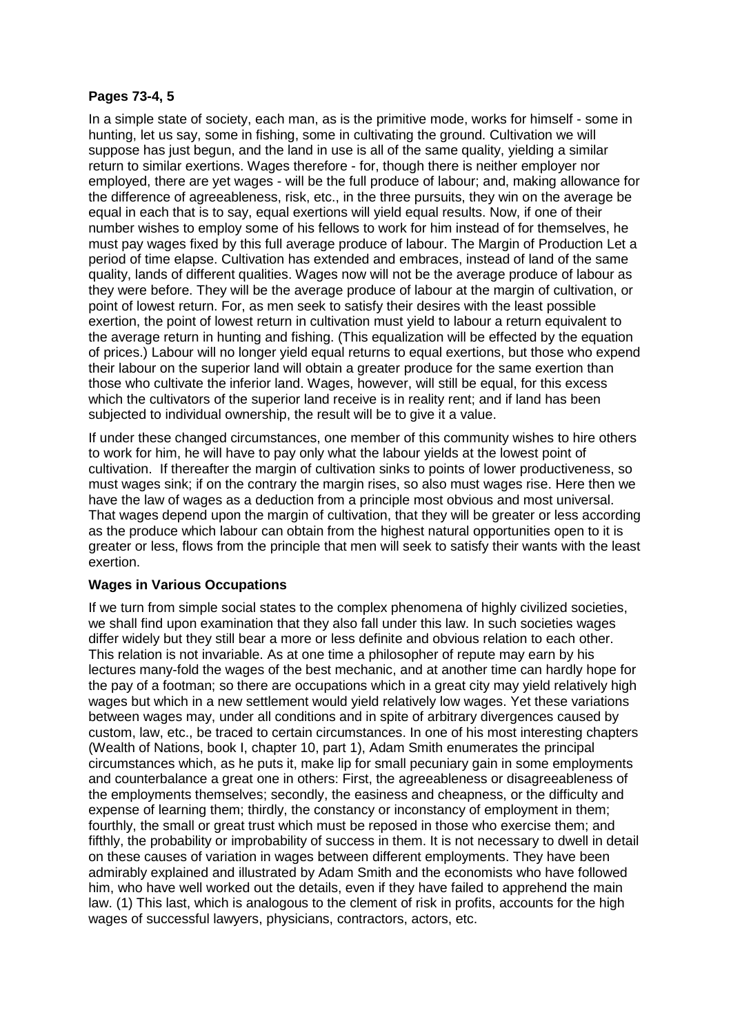# **Pages 73-4, 5**

In a simple state of society, each man, as is the primitive mode, works for himself - some in hunting, let us say, some in fishing, some in cultivating the ground. Cultivation we will suppose has just begun, and the land in use is all of the same quality, yielding a similar return to similar exertions. Wages therefore - for, though there is neither employer nor employed, there are yet wages - will be the full produce of labour; and, making allowance for the difference of agreeableness, risk, etc., in the three pursuits, they win on the average be equal in each that is to say, equal exertions will yield equal results. Now, if one of their number wishes to employ some of his fellows to work for him instead of for themselves, he must pay wages fixed by this full average produce of labour. The Margin of Production Let a period of time elapse. Cultivation has extended and embraces, instead of land of the same quality, lands of different qualities. Wages now will not be the average produce of labour as they were before. They will be the average produce of labour at the margin of cultivation, or point of lowest return. For, as men seek to satisfy their desires with the least possible exertion, the point of lowest return in cultivation must yield to labour a return equivalent to the average return in hunting and fishing. (This equalization will be effected by the equation of prices.) Labour will no longer yield equal returns to equal exertions, but those who expend their labour on the superior land will obtain a greater produce for the same exertion than those who cultivate the inferior land. Wages, however, will still be equal, for this excess which the cultivators of the superior land receive is in reality rent; and if land has been subjected to individual ownership, the result will be to give it a value.

If under these changed circumstances, one member of this community wishes to hire others to work for him, he will have to pay only what the labour yields at the lowest point of cultivation. If thereafter the margin of cultivation sinks to points of lower productiveness, so must wages sink; if on the contrary the margin rises, so also must wages rise. Here then we have the law of wages as a deduction from a principle most obvious and most universal. That wages depend upon the margin of cultivation, that they will be greater or less according as the produce which labour can obtain from the highest natural opportunities open to it is greater or less, flows from the principle that men will seek to satisfy their wants with the least exertion.

## **Wages in Various Occupations**

If we turn from simple social states to the complex phenomena of highly civilized societies, we shall find upon examination that they also fall under this law. In such societies wages differ widely but they still bear a more or less definite and obvious relation to each other. This relation is not invariable. As at one time a philosopher of repute may earn by his lectures many-fold the wages of the best mechanic, and at another time can hardly hope for the pay of a footman; so there are occupations which in a great city may yield relatively high wages but which in a new settlement would yield relatively low wages. Yet these variations between wages may, under all conditions and in spite of arbitrary divergences caused by custom, law, etc., be traced to certain circumstances. In one of his most interesting chapters (Wealth of Nations, book I, chapter 10, part 1), Adam Smith enumerates the principal circumstances which, as he puts it, make lip for small pecuniary gain in some employments and counterbalance a great one in others: First, the agreeableness or disagreeableness of the employments themselves; secondly, the easiness and cheapness, or the difficulty and expense of learning them; thirdly, the constancy or inconstancy of employment in them; fourthly, the small or great trust which must be reposed in those who exercise them; and fifthly, the probability or improbability of success in them. It is not necessary to dwell in detail on these causes of variation in wages between different employments. They have been admirably explained and illustrated by Adam Smith and the economists who have followed him, who have well worked out the details, even if they have failed to apprehend the main law. (1) This last, which is analogous to the clement of risk in profits, accounts for the high wages of successful lawyers, physicians, contractors, actors, etc.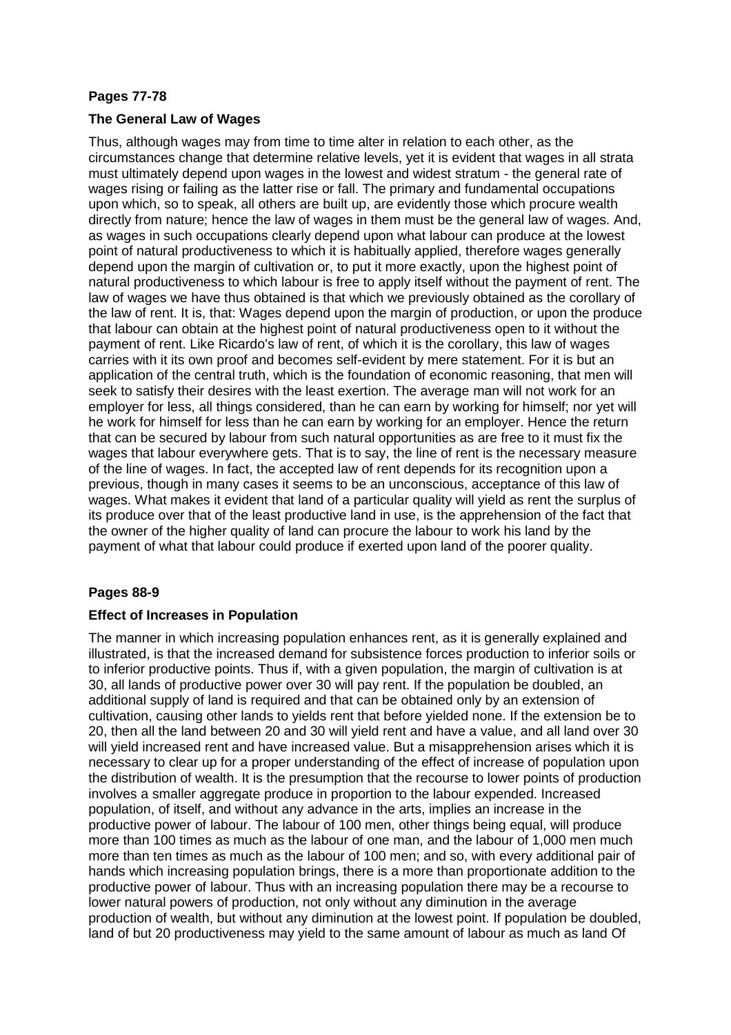# **Pages 77-78**

## **The General Law of Wages**

Thus, although wages may from time to time alter in relation to each other, as the circumstances change that determine relative levels, yet it is evident that wages in all strata must ultimately depend upon wages in the lowest and widest stratum - the general rate of wages rising or failing as the latter rise or fall. The primary and fundamental occupations upon which, so to speak, all others are built up, are evidently those which procure wealth directly from nature; hence the law of wages in them must be the general law of wages. And, as wages in such occupations clearly depend upon what labour can produce at the lowest point of natural productiveness to which it is habitually applied, therefore wages generally depend upon the margin of cultivation or, to put it more exactly, upon the highest point of natural productiveness to which labour is free to apply itself without the payment of rent. The law of wages we have thus obtained is that which we previously obtained as the corollary of the law of rent. It is, that: Wages depend upon the margin of production, or upon the produce that labour can obtain at the highest point of natural productiveness open to it without the payment of rent. Like Ricardo's law of rent, of which it is the corollary, this law of wages carries with it its own proof and becomes self-evident by mere statement. For it is but an application of the central truth, which is the foundation of economic reasoning, that men will seek to satisfy their desires with the least exertion. The average man will not work for an employer for less, all things considered, than he can earn by working for himself; nor yet will he work for himself for less than he can earn by working for an employer. Hence the return that can be secured by labour from such natural opportunities as are free to it must fix the wages that labour everywhere gets. That is to say, the line of rent is the necessary measure of the line of wages. In fact, the accepted law of rent depends for its recognition upon a previous, though in many cases it seems to be an unconscious, acceptance of this law of wages. What makes it evident that land of a particular quality will yield as rent the surplus of its produce over that of the least productive land in use, is the apprehension of the fact that the owner of the higher quality of land can procure the labour to work his land by the payment of what that labour could produce if exerted upon land of the poorer quality.

## **Pages 88-9**

## **Effect of Increases in Population**

The manner in which increasing population enhances rent, as it is generally explained and illustrated, is that the increased demand for subsistence forces production to inferior soils or to inferior productive points. Thus if, with a given population, the margin of cultivation is at 30, all lands of productive power over 30 will pay rent. If the population be doubled, an additional supply of land is required and that can be obtained only by an extension of cultivation, causing other lands to yields rent that before yielded none. If the extension be to 20, then all the land between 20 and 30 will yield rent and have a value, and all land over 30 will yield increased rent and have increased value. But a misapprehension arises which it is necessary to clear up for a proper understanding of the effect of increase of population upon the distribution of wealth. It is the presumption that the recourse to lower points of production involves a smaller aggregate produce in proportion to the labour expended. Increased population, of itself, and without any advance in the arts, implies an increase in the productive power of labour. The labour of 100 men, other things being equal, will produce more than 100 times as much as the labour of one man, and the labour of 1,000 men much more than ten times as much as the labour of 100 men; and so, with every additional pair of hands which increasing population brings, there is a more than proportionate addition to the productive power of labour. Thus with an increasing population there may be a recourse to lower natural powers of production, not only without any diminution in the average production of wealth, but without any diminution at the lowest point. If population be doubled, land of but 20 productiveness may yield to the same amount of labour as much as land Of